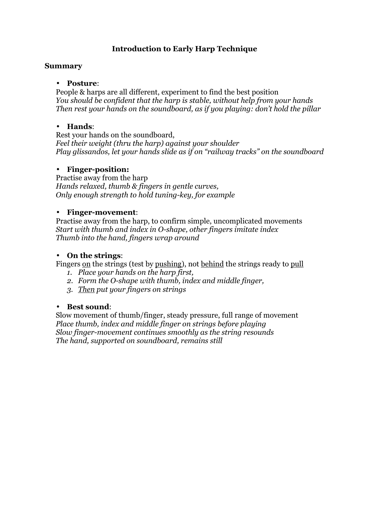### **Introduction to Early Harp Technique**

### **Summary**

#### • **Posture**:

People & harps are all different, experiment to find the best position *You should be confident that the harp is stable, without help from your hands Then rest your hands on the soundboard, as if you playing: don't hold the pillar* 

#### • **Hands**:

Rest your hands on the soundboard, *Feel their weight (thru the harp) against your shoulder Play glissandos, let your hands slide as if on "railway tracks" on the soundboard* 

### • **Finger-position:**

Practise away from the harp *Hands relaxed, thumb & fingers in gentle curves, Only enough strength to hold tuning-key, for example*

#### • **Finger-movement**:

Practise away from the harp, to confirm simple, uncomplicated movements *Start with thumb and index in O-shape, other fingers imitate index Thumb into the hand, fingers wrap around* 

### • **On the strings**:

Fingers on the strings (test by pushing), not behind the strings ready to pull

- *1. Place your hands on the harp first,*
- *2. Form the O-shape with thumb, index and middle finger,*
- *3. Then put your fingers on strings*

#### • **Best sound**:

Slow movement of thumb/finger, steady pressure, full range of movement *Place thumb, index and middle finger on strings before playing Slow finger-movement continues smoothly as the string resounds The hand, supported on soundboard, remains still*